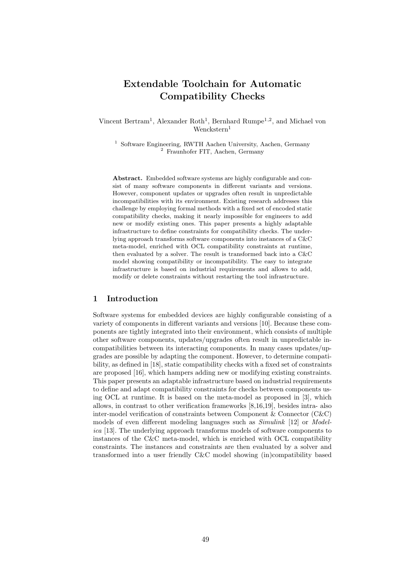# Extendable Toolchain for Automatic Compatibility Checks

Vincent Bertram<sup>1</sup>, Alexander Roth<sup>1</sup>, Bernhard Rumpe<sup>1,2</sup>, and Michael von Wenckstern<sup>1</sup>

<sup>1</sup> Software Engineering, RWTH Aachen University, Aachen, Germany <sup>2</sup> Fraunhofer FIT, Aachen, Germany

Abstract. Embedded software systems are highly configurable and consist of many software components in different variants and versions. However, component updates or upgrades often result in unpredictable incompatibilities with its environment. Existing research addresses this challenge by employing formal methods with a fixed set of encoded static compatibility checks, making it nearly impossible for engineers to add new or modify existing ones. This paper presents a highly adaptable infrastructure to define constraints for compatibility checks. The underlying approach transforms software components into instances of a C&C meta-model, enriched with OCL compatibility constraints at runtime, then evaluated by a solver. The result is transformed back into a C&C model showing compatibility or incompatibility. The easy to integrate infrastructure is based on industrial requirements and allows to add, modify or delete constraints without restarting the tool infrastructure.

#### 1 Introduction

Software systems for embedded devices are highly configurable consisting of a variety of components in different variants and versions [10]. Because these components are tightly integrated into their environment, which consists of multiple other software components, updates/upgrades often result in unpredictable incompatibilities between its interacting components. In many cases updates/upgrades are possible by adapting the component. However, to determine compatibility, as defined in [18], static compatibility checks with a fixed set of constraints are proposed [16], which hampers adding new or modifying existing constraints. This paper presents an adaptable infrastructure based on industrial requirements to define and adapt compatibility constraints for checks between components using OCL at runtime. It is based on the meta-model as proposed in [3], which allows, in contrast to other verification frameworks [8,16,19], besides intra- also inter-model verification of constraints between Component & Connector (C&C) models of even different modeling languages such as *Simulink* [12] or *Model*ica [13]. The underlying approach transforms models of software components to instances of the C&C meta-model, which is enriched with OCL compatibility constraints. The instances and constraints are then evaluated by a solver and transformed into a user friendly C&C model showing (in)compatibility based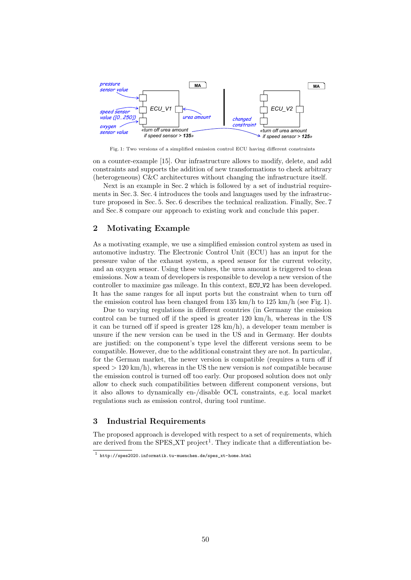

Fig. 1: Two versions of a simplified emission control ECU having different constraints

on a counter-example [15]. Our infrastructure allows to modify, delete, and add constraints and supports the addition of new transformations to check arbitrary (heterogeneous) C&C architectures without changing the infrastructure itself.

Next is an example in Sec. 2 which is followed by a set of industrial requirements in Sec. 3. Sec. 4 introduces the tools and languages used by the infrastructure proposed in Sec. 5. Sec. 6 describes the technical realization. Finally, Sec. 7 and Sec. 8 compare our approach to existing work and conclude this paper.

## 2 Motivating Example

As a motivating example, we use a simplified emission control system as used in automotive industry. The Electronic Control Unit (ECU) has an input for the pressure value of the exhaust system, a speed sensor for the current velocity, and an oxygen sensor. Using these values, the urea amount is triggered to clean emissions. Now a team of developers is responsible to develop a new version of the controller to maximize gas mileage. In this context, ECU V2 has been developed. It has the same ranges for all input ports but the constraint when to turn off the emission control has been changed from  $135 \text{ km/h}$  to  $125 \text{ km/h}$  (see Fig. 1).

Due to varying regulations in different countries (in Germany the emission control can be turned off if the speed is greater 120 km/h, whereas in the US it can be turned off if speed is greater  $128 \text{ km/h}$ , a developer team member is unsure if the new version can be used in the US and in Germany. Her doubts are justified: on the component's type level the different versions seem to be compatible. However, due to the additional constraint they are not. In particular, for the German market, the newer version is compatible (requires a turn off if speed  $> 120 \text{ km/h}$ , whereas in the US the new version is *not* compatible because the emission control is turned off too early. Our proposed solution does not only allow to check such compatibilities between different component versions, but it also allows to dynamically en-/disable OCL constraints, e.g. local market regulations such as emission control, during tool runtime.

## 3 Industrial Requirements

The proposed approach is developed with respect to a set of requirements, which are derived from the SPES\_XT project<sup>1</sup>. They indicate that a differentiation be-

<sup>1</sup> http://spes2020.informatik.tu-muenchen.de/spes\_xt-home.html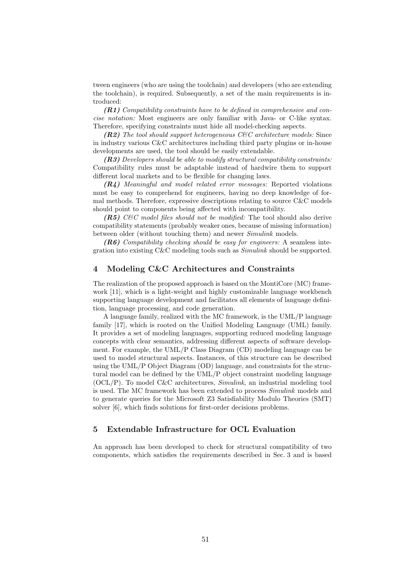tween engineers (who are using the toolchain) and developers (who are extending the toolchain), is required. Subsequently, a set of the main requirements is introduced:

(R1) Compatibility constraints have to be defined in comprehensive and concise notation: Most engineers are only familiar with Java- or C-like syntax. Therefore, specifying constraints must hide all model-checking aspects.

 $(R2)$  The tool should support heterogeneous C&C architecture models: Since in industry various C&C architectures including third party plugins or in-house developments are used, the tool should be easily extendable.

 $(R3)$  Developers should be able to modify structural compatibility constraints: Compatibility rules must be adaptable instead of hardwire them to support different local markets and to be flexible for changing laws.

(R4) Meaningful and model related error messages: Reported violations must be easy to comprehend for engineers, having no deep knowledge of formal methods. Therefore, expressive descriptions relating to source C&C models should point to components being affected with incompatibility.

 $(R5)$  C&C model files should not be modified: The tool should also derive compatibility statements (probably weaker ones, because of missing information) between older (without touching them) and newer Simulink models.

 $(R6)$  Compatibility checking should be easy for engineers: A seamless integration into existing C&C modeling tools such as Simulink should be supported.

## 4 Modeling C&C Architectures and Constraints

The realization of the proposed approach is based on the MontiCore (MC) framework [11], which is a light-weight and highly customizable language workbench supporting language development and facilitates all elements of language definition, language processing, and code generation.

A language family, realized with the MC framework, is the UML/P language family [17], which is rooted on the Unified Modeling Language (UML) family. It provides a set of modeling languages, supporting reduced modeling language concepts with clear semantics, addressing different aspects of software development. For example, the UML/P Class Diagram (CD) modeling language can be used to model structural aspects. Instances, of this structure can be described using the UML/P Object Diagram (OD) language, and constraints for the structural model can be defined by the UML/P object constraint modeling language  $(OCL/P)$ . To model C&C architectures, *Simulink*, an industrial modeling tool is used. The MC framework has been extended to process Simulink models and to generate queries for the Microsoft Z3 Satisfiability Modulo Theories (SMT) solver [6], which finds solutions for first-order decisions problems.

### 5 Extendable Infrastructure for OCL Evaluation

An approach has been developed to check for structural compatibility of two components, which satisfies the requirements described in Sec. 3 and is based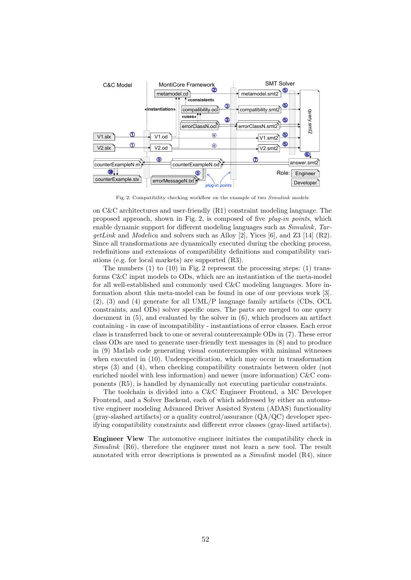

Fig. 2: Compatibility checking workflow on the example of two Simulink models

on C&C architectures and user-friendly (R1) constraint modeling language. The proposed approach, shown in Fig. 2, is composed of five plug-in points, which enable dynamic support for different modeling languages such as *Simulink*, Tar $getLink$  and Modelica and solvers such as Alloy [2], Yices [6], and Z3 [14] (R2). Since all transformations are dynamically executed during the checking process, redefinitions and extensions of compatibility definitions and compatibility variations (e.g. for local markets) are supported (R3).

The numbers  $(1)$  to  $(10)$  in Fig. 2 represent the processing steps:  $(1)$  transforms C&C input models to ODs, which are an instantiation of the meta-model for all well-established and commonly used C&C modeling languages. More information about this meta-model can be found in one of our previous work [3]. (2), (3) and (4) generate for all UML/P language family artifacts (CDs, OCL constraints, and ODs) solver specific ones. The parts are merged to one query document in (5), and evaluated by the solver in (6), which produces an artifact containing - in case of incompatibility - instantiations of error classes. Each error class is transferred back to one or several counterexample ODs in (7). These error class ODs are used to generate user-friendly text messages in (8) and to produce in (9) Matlab code generating visual counterexamples with minimal witnesses when executed in (10). Underspecification, which may occur in transformation steps (3) and (4), when checking compatibility constraints between older (not enriched model with less information) and newer (more information) C&C components (R5), is handled by dynamically not executing particular constraints.

The toolchain is divided into a C&C Engineer Frontend, a MC Developer Frontend, and a Solver Backend, each of which addressed by either an automotive engineer modeling Advanced Driver Assisted System (ADAS) functionality  $(\text{gray-slashed artifacts})$  or a quality control/assurance  $(QA/QC)$  developer specifying compatibility constraints and different error classes (gray-lined artifacts).

Engineer View The automotive engineer initiates the compatibility check in Simulink (R6), therefore the engineer must not learn a new tool. The result annotated with error descriptions is presented as a Simulink model (R4), since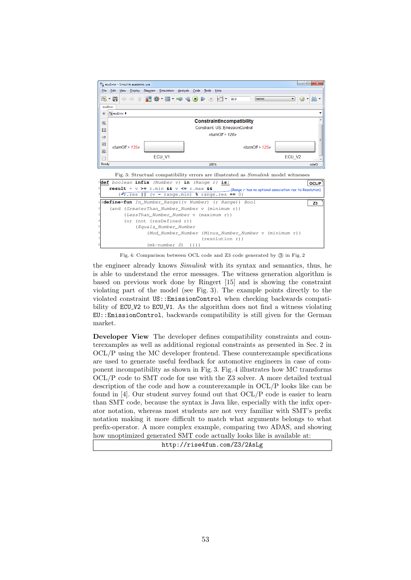

Fig. 4: Comparison between OCL code and Z3 code generated by  $(3)$  in Fig. 2

the engineer already knows *Simulink* with its syntax and semantics, thus, he is able to understand the error messages. The witness generation algorithm is based on previous work done by Ringert [15] and is showing the constraint violating part of the model (see Fig. 3). The example points directly to the violated constraint US::EmissionControl when checking backwards compatibility of ECU V2 to ECU V1. As the algorithm does not find a witness violating EU::EmissionControl, backwards compatibility is still given for the German market.

Developer View The developer defines compatibility constraints and counterexamples as well as additional regional constraints as presented in Sec. 2 in OCL/P using the MC developer frontend. These counterexample specifications are used to generate useful feedback for automotive engineers in case of component incompatibility as shown in Fig. 3. Fig. 4 illustrates how MC transforms OCL/P code to SMT code for use with the Z3 solver. A more detailed textual description of the code and how a counterexample in OCL/P looks like can be found in [4]. Our student survey found out that OCL/P code is easier to learn than SMT code, because the syntax is Java like, especially with the infix operator notation, whereas most students are not very familiar with SMT's prefix notation making it more difficult to match what arguments belongs to what prefix-operator. A more complex example, comparing two ADAS, and showing how unoptimized generated SMT code actually looks like is available at:

http://rise4fun.com/Z3/2AsLg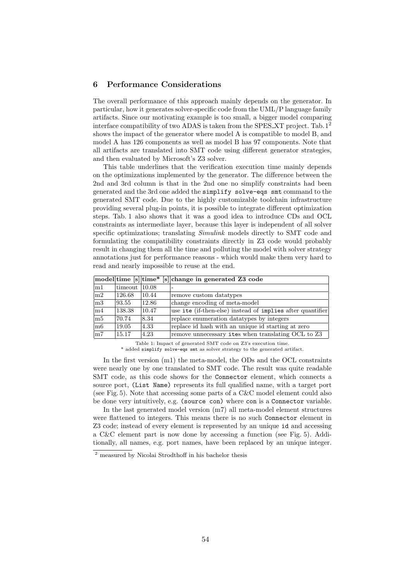## 6 Performance Considerations

The overall performance of this approach mainly depends on the generator. In particular, how it generates solver-specific code from the UML/P language family artifacts. Since our motivating example is too small, a bigger model comparing interface compatibility of two ADAS is taken from the SPES\_XT project. Tab.  $1^2$ shows the impact of the generator where model A is compatible to model B, and model A has 126 components as well as model B has 97 components. Note that all artifacts are translated into SMT code using different generator strategies, and then evaluated by Microsoft's Z3 solver.

This table underlines that the verification execution time mainly depends on the optimizations implemented by the generator. The difference between the 2nd and 3rd column is that in the 2nd one no simplify constraints had been generated and the 3rd one added the simplify solve-eqs smt command to the generated SMT code. Due to the highly customizable toolchain infrastructure providing several plug-in points, it is possible to integrate different optimization steps. Tab. 1 also shows that it was a good idea to introduce CDs and OCL constraints as intermediate layer, because this layer is independent of all solver specific optimizations; translating *Simulink* models directly to SMT code and formulating the compatibility constraints directly in Z3 code would probably result in changing them all the time and polluting the model with solver strategy annotations just for performance reasons - which would make them very hard to read and nearly impossible to reuse at the end.

|                |                        |       | model time [s] time* [s] change in generated Z3 code       |
|----------------|------------------------|-------|------------------------------------------------------------|
| $\rm{m1}$      | $\text{timeout}$ 10.08 |       |                                                            |
| m2             | 126.68                 | 10.44 | remove custom datatypes                                    |
| $\rm{m3}$      | 93.55                  | 12.86 | change encoding of meta-model                              |
| m4             | 138.38                 | 10.47 | use ite (if-then-else) instead of implies after quantifier |
| $\rm{m5}$      | 70.74                  | 8.34  | replace enumeration datatypes by integers                  |
| m <sub>6</sub> | 19.05                  | 4.33  | replace id hash with an unique id starting at zero         |
| m7             | 15.17                  | 4.23  | remove unnecessary ites when translating OCL to Z3         |

Table 1: Impact of generated SMT code on Z3's execution time. \* added simplify solve-eqs smt as solver strategy to the generated artifact.

In the first version (m1) the meta-model, the ODs and the OCL constraints were nearly one by one translated to SMT code. The result was quite readable SMT code, as this code shows for the Connector element, which connects a source port, (List Name) represents its full qualified name, with a target port (see Fig. 5). Note that accessing some parts of a C&C model element could also be done very intuitively, e.g. (source con) where con is a Connector variable.

In the last generated model version (m7) all meta-model element structures were flattened to integers. This means there is no such Connector element in Z3 code; instead of every element is represented by an unique id and accessing a C&C element part is now done by accessing a function (see Fig. 5). Additionally, all names, e.g. port names, have been replaced by an unique integer.

<sup>2</sup> measured by Nicolai Strodthoff in his bachelor thesis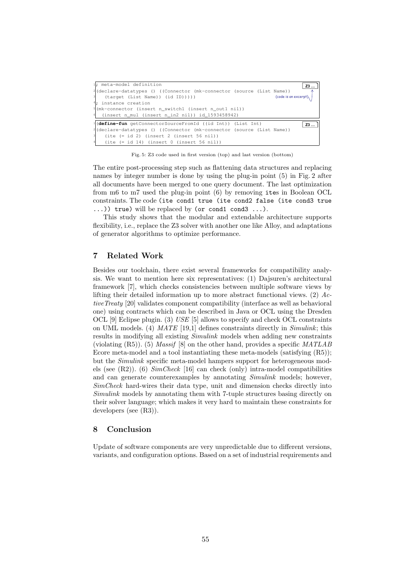| $1$ ; meta-model definition<br>Z3                                                 |  |  |  |  |  |
|-----------------------------------------------------------------------------------|--|--|--|--|--|
| <sup>2</sup> (declare-datatypes () ((Connector (mk-connector (source (List Name)) |  |  |  |  |  |
| $\lceil$<br>(code is an except)<br>(target (List Name)) (id ID)))))               |  |  |  |  |  |
| $4$ ; instance creation                                                           |  |  |  |  |  |
| $5(mk$ -connector (insert n_switch1 (insert n_out1 nil))                          |  |  |  |  |  |
| $\frac{1}{2}$ (insert n_mul (insert n_in2 nil)) id_1593458942)                    |  |  |  |  |  |
| $1$ (define-fun getConnectorSourceFromId ((id Int)) (List Int)<br>Z3.             |  |  |  |  |  |
| <sup>2</sup> (declare-datatypes () ((Connector (mk-connector (source (List Name)) |  |  |  |  |  |
| $(ite (= id 2) (insert 2 (insert 56 nil))$                                        |  |  |  |  |  |
| 4<br>$(ite (= id 14) (insert 0 (insert 56 nil))$                                  |  |  |  |  |  |

Fig. 5: Z3 code used in first version (top) and last version (bottom)

The entire post-processing step such as flattening data structures and replacing names by integer number is done by using the plug-in point (5) in Fig. 2 after all documents have been merged to one query document. The last optimization from m6 to m7 used the plug-in point (6) by removing ites in Boolean OCL constraints. The code (ite cond1 true (ite cond2 false (ite cond3 true  $\ldots$ )) true) will be replaced by (or cond1 cond3  $\ldots$ ).

This study shows that the modular and extendable architecture supports flexibility, i.e., replace the Z3 solver with another one like Alloy, and adaptations of generator algorithms to optimize performance.

# 7 Related Work

Besides our toolchain, there exist several frameworks for compatibility analysis. We want to mention here six representatives: (1) Dajsuren's architectural framework [7], which checks consistencies between multiple software views by lifting their detailed information up to more abstract functional views. (2)  $Ac$ tiveTreaty [20] validates component compatibility (interface as well as behavioral one) using contracts which can be described in Java or OCL using the Dresden OCL [9] Eclipse plugin. (3) USE [5] allows to specify and check OCL constraints on UML models. (4) MATE [19,1] defines constraints directly in  $Simulink$ ; this results in modifying all existing *Simulink* models when adding new constraints (violating  $(R5)$ ). (5) *Massif* [8] on the other hand, provides a specific *MATLAB* Ecore meta-model and a tool instantiating these meta-models (satisfying (R5)); but the *Simulink* specific meta-model hampers support for heterogeneous models (see  $(R2)$ ). (6) *SimCheck* [16] can check (only) intra-model compatibilities and can generate counterexamples by annotating Simulink models; however, SimCheck hard-wires their data type, unit and dimension checks directly into Simulink models by annotating them with 7-tuple structures basing directly on their solver language; which makes it very hard to maintain these constraints for developers (see (R3)).

### 8 Conclusion

Update of software components are very unpredictable due to different versions, variants, and configuration options. Based on a set of industrial requirements and